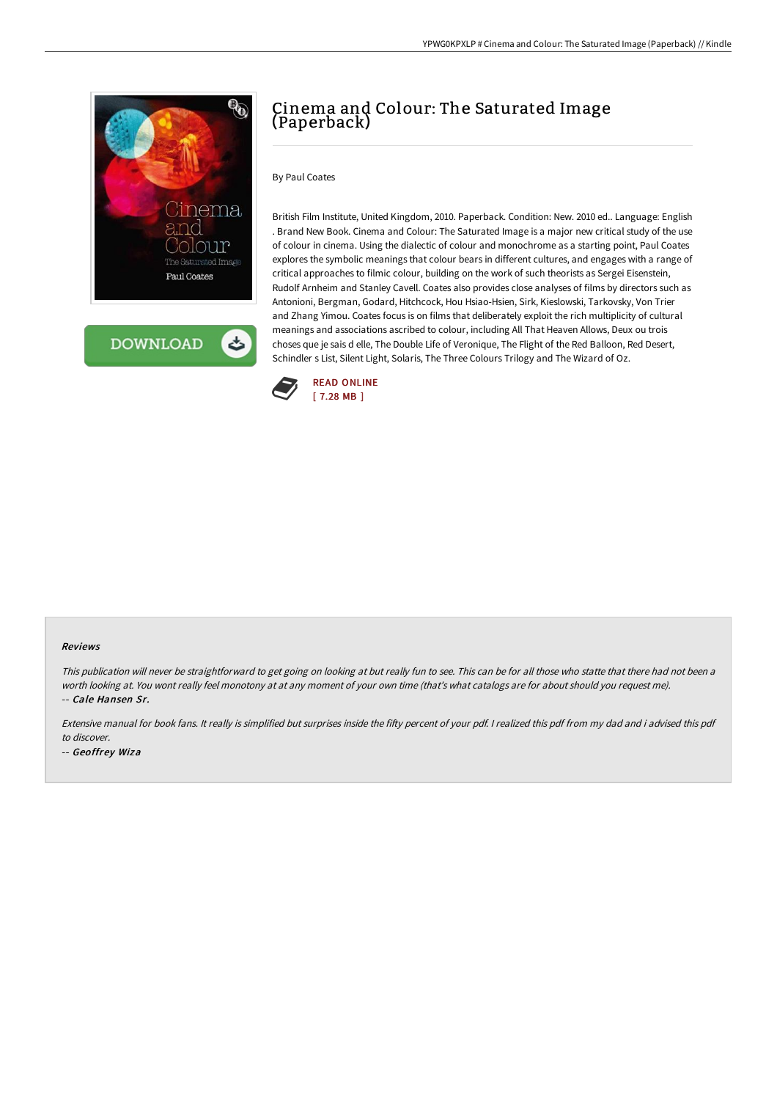



# Cinema and Colour: The Saturated Image (Paperback)

## By Paul Coates

British Film Institute, United Kingdom, 2010. Paperback. Condition: New. 2010 ed.. Language: English . Brand New Book. Cinema and Colour: The Saturated Image is a major new critical study of the use of colour in cinema. Using the dialectic of colour and monochrome as a starting point, Paul Coates explores the symbolic meanings that colour bears in different cultures, and engages with a range of critical approaches to filmic colour, building on the work of such theorists as Sergei Eisenstein, Rudolf Arnheim and Stanley Cavell. Coates also provides close analyses of films by directors such as Antonioni, Bergman, Godard, Hitchcock, Hou Hsiao-Hsien, Sirk, Kieslowski, Tarkovsky, Von Trier and Zhang Yimou. Coates focus is on films that deliberately exploit the rich multiplicity of cultural meanings and associations ascribed to colour, including All That Heaven Allows, Deux ou trois choses que je sais d elle, The Double Life of Veronique, The Flight of the Red Balloon, Red Desert, Schindler s List, Silent Light, Solaris, The Three Colours Trilogy and The Wizard of Oz.



#### Reviews

This publication will never be straightforward to get going on looking at but really fun to see. This can be for all those who statte that there had not been <sup>a</sup> worth looking at. You wont really feel monotony at at any moment of your own time (that's what catalogs are for about should you request me). -- Cale Hansen Sr.

Extensive manual for book fans. It really is simplified but surprises inside the fifty percent of your pdf. I realized this pdf from my dad and i advised this pdf to discover.

-- Geoffrey Wiza